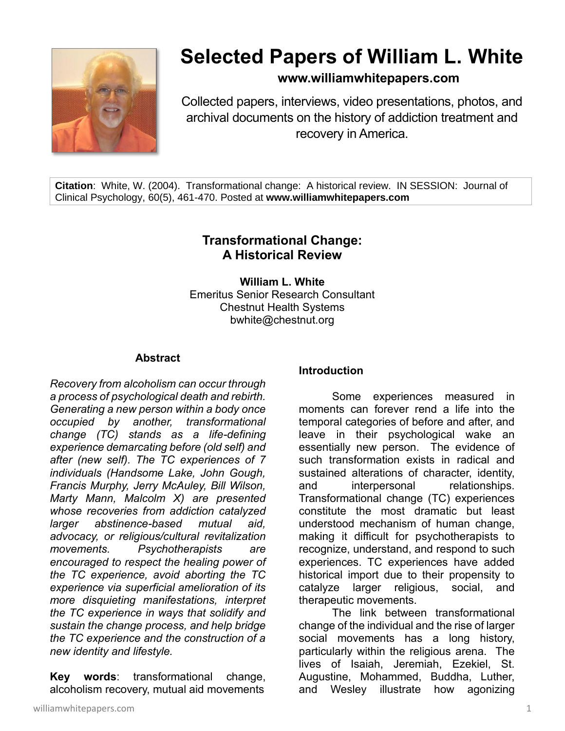

# **Selected Papers of William L. White**

# **www.williamwhitepapers.com**

Collected papers, interviews, video presentations, photos, and archival documents on the history of addiction treatment and recovery in America.

**Citation**: White, W. (2004). Transformational change: A historical review. IN SESSION: Journal of Clinical Psychology, 60(5), 461-470. Posted at **www.williamwhitepapers.com**

# **Transformational Change: A Historical Review**

**William L. White** Emeritus Senior Research Consultant Chestnut Health Systems bwhite@chestnut.org

#### **Abstract**

*Recovery from alcoholism can occur through a process of psychological death and rebirth. Generating a new person within a body once occupied by another, transformational change (TC) stands as a life-defining experience demarcating before (old self) and after (new self). The TC experiences of 7 individuals (Handsome Lake, John Gough, Francis Murphy, Jerry McAuley, Bill Wilson, Marty Mann, Malcolm X) are presented whose recoveries from addiction catalyzed larger abstinence-based mutual aid, advocacy, or religious/cultural revitalization movements. Psychotherapists are encouraged to respect the healing power of the TC experience, avoid aborting the TC experience via superficial amelioration of its more disquieting manifestations, interpret the TC experience in ways that solidify and sustain the change process, and help bridge the TC experience and the construction of a new identity and lifestyle.* 

**Key words**: transformational change, alcoholism recovery, mutual aid movements

#### **Introduction**

Some experiences measured in moments can forever rend a life into the temporal categories of before and after, and leave in their psychological wake an essentially new person. The evidence of such transformation exists in radical and sustained alterations of character, identity, and interpersonal relationships. Transformational change (TC) experiences constitute the most dramatic but least understood mechanism of human change, making it difficult for psychotherapists to recognize, understand, and respond to such experiences. TC experiences have added historical import due to their propensity to catalyze larger religious, social, and therapeutic movements.

The link between transformational change of the individual and the rise of larger social movements has a long history, particularly within the religious arena. The lives of Isaiah, Jeremiah, Ezekiel, St. Augustine, Mohammed, Buddha, Luther, and Wesley illustrate how agonizing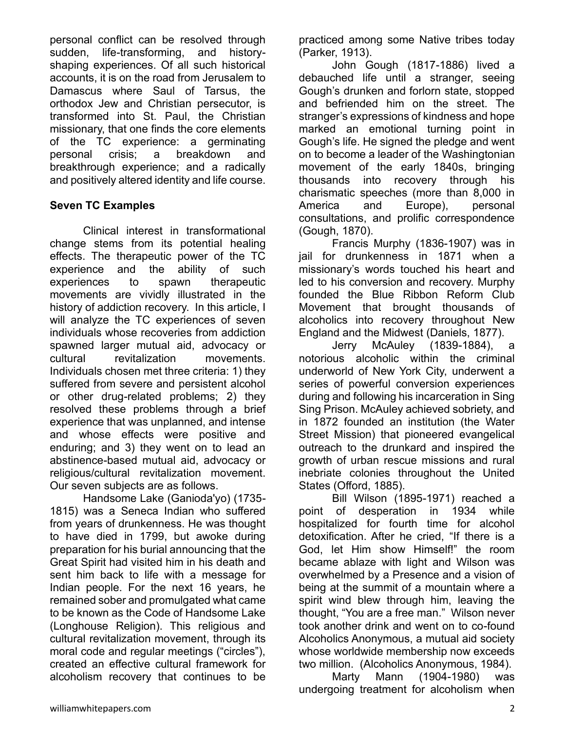personal conflict can be resolved through sudden, life-transforming, and historyshaping experiences. Of all such historical accounts, it is on the road from Jerusalem to Damascus where Saul of Tarsus, the orthodox Jew and Christian persecutor, is transformed into St. Paul, the Christian missionary, that one finds the core elements of the TC experience: a germinating personal crisis; a breakdown and breakthrough experience; and a radically and positively altered identity and life course.

# **Seven TC Examples**

Clinical interest in transformational change stems from its potential healing effects. The therapeutic power of the TC experience and the ability of such experiences to spawn therapeutic movements are vividly illustrated in the history of addiction recovery. In this article, I will analyze the TC experiences of seven individuals whose recoveries from addiction spawned larger mutual aid, advocacy or cultural revitalization movements. Individuals chosen met three criteria: 1) they suffered from severe and persistent alcohol or other drug-related problems; 2) they resolved these problems through a brief experience that was unplanned, and intense and whose effects were positive and enduring; and 3) they went on to lead an abstinence-based mutual aid, advocacy or religious/cultural revitalization movement. Our seven subjects are as follows.

 Handsome Lake (Ganioda'yo) (1735- 1815) was a Seneca Indian who suffered from years of drunkenness. He was thought to have died in 1799, but awoke during preparation for his burial announcing that the Great Spirit had visited him in his death and sent him back to life with a message for Indian people. For the next 16 years, he remained sober and promulgated what came to be known as the Code of Handsome Lake (Longhouse Religion). This religious and cultural revitalization movement, through its moral code and regular meetings ("circles"), created an effective cultural framework for alcoholism recovery that continues to be

practiced among some Native tribes today (Parker, 1913).

John Gough (1817-1886) lived a debauched life until a stranger, seeing Gough's drunken and forlorn state, stopped and befriended him on the street. The stranger's expressions of kindness and hope marked an emotional turning point in Gough's life. He signed the pledge and went on to become a leader of the Washingtonian movement of the early 1840s, bringing thousands into recovery through his charismatic speeches (more than 8,000 in America and Europe), personal consultations, and prolific correspondence (Gough, 1870).

Francis Murphy (1836-1907) was in jail for drunkenness in 1871 when a missionary's words touched his heart and led to his conversion and recovery. Murphy founded the Blue Ribbon Reform Club Movement that brought thousands of alcoholics into recovery throughout New England and the Midwest (Daniels, 1877).

Jerry McAuley (1839-1884), a notorious alcoholic within the criminal underworld of New York City, underwent a series of powerful conversion experiences during and following his incarceration in Sing Sing Prison. McAuley achieved sobriety, and in 1872 founded an institution (the Water Street Mission) that pioneered evangelical outreach to the drunkard and inspired the growth of urban rescue missions and rural inebriate colonies throughout the United States (Offord, 1885).

Bill Wilson (1895-1971) reached a point of desperation in 1934 while hospitalized for fourth time for alcohol detoxification. After he cried, "If there is a God, let Him show Himself!" the room became ablaze with light and Wilson was overwhelmed by a Presence and a vision of being at the summit of a mountain where a spirit wind blew through him, leaving the thought, "You are a free man." Wilson never took another drink and went on to co-found Alcoholics Anonymous, a mutual aid society whose worldwide membership now exceeds two million. (Alcoholics Anonymous, 1984).

Marty Mann (1904-1980) was undergoing treatment for alcoholism when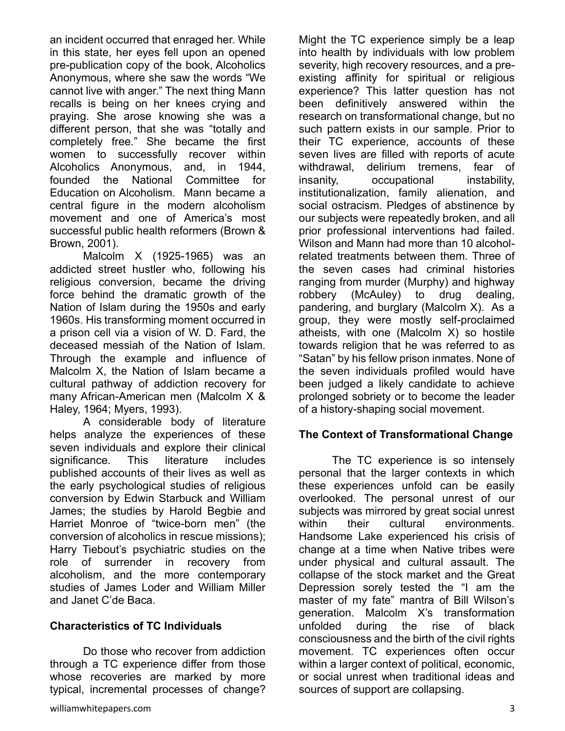an incident occurred that enraged her. While in this state, her eyes fell upon an opened pre-publication copy of the book, Alcoholics Anonymous, where she saw the words "We cannot live with anger." The next thing Mann recalls is being on her knees crying and praying. She arose knowing she was a different person, that she was "totally and completely free." She became the first women to successfully recover within Alcoholics Anonymous, and, in 1944, founded the National Committee for Education on Alcoholism. Mann became a central figure in the modern alcoholism movement and one of America's most successful public health reformers (Brown & Brown, 2001).

Malcolm X (1925-1965) was an addicted street hustler who, following his religious conversion, became the driving force behind the dramatic growth of the Nation of Islam during the 1950s and early 1960s. His transforming moment occurred in a prison cell via a vision of W. D. Fard, the deceased messiah of the Nation of Islam. Through the example and influence of Malcolm X, the Nation of Islam became a cultural pathway of addiction recovery for many African-American men (Malcolm X & Haley, 1964; Myers, 1993).

A considerable body of literature helps analyze the experiences of these seven individuals and explore their clinical significance. This literature includes published accounts of their lives as well as the early psychological studies of religious conversion by Edwin Starbuck and William James; the studies by Harold Begbie and Harriet Monroe of "twice-born men" (the conversion of alcoholics in rescue missions); Harry Tiebout's psychiatric studies on the role of surrender in recovery from alcoholism, and the more contemporary studies of James Loder and William Miller and Janet C'de Baca.

# **Characteristics of TC Individuals**

Do those who recover from addiction through a TC experience differ from those whose recoveries are marked by more typical, incremental processes of change?

Might the TC experience simply be a leap into health by individuals with low problem severity, high recovery resources, and a preexisting affinity for spiritual or religious experience? This latter question has not been definitively answered within the research on transformational change, but no such pattern exists in our sample. Prior to their TC experience, accounts of these seven lives are filled with reports of acute withdrawal, delirium tremens, fear of insanity, occupational instability, institutionalization, family alienation, and social ostracism. Pledges of abstinence by our subjects were repeatedly broken, and all prior professional interventions had failed. Wilson and Mann had more than 10 alcoholrelated treatments between them. Three of the seven cases had criminal histories ranging from murder (Murphy) and highway robbery (McAuley) to drug dealing, pandering, and burglary (Malcolm X). As a group, they were mostly self-proclaimed atheists, with one (Malcolm X) so hostile towards religion that he was referred to as "Satan" by his fellow prison inmates. None of the seven individuals profiled would have been judged a likely candidate to achieve prolonged sobriety or to become the leader of a history-shaping social movement.

#### **The Context of Transformational Change**

The TC experience is so intensely personal that the larger contexts in which these experiences unfold can be easily overlooked. The personal unrest of our subjects was mirrored by great social unrest within their cultural environments. Handsome Lake experienced his crisis of change at a time when Native tribes were under physical and cultural assault. The collapse of the stock market and the Great Depression sorely tested the "I am the master of my fate" mantra of Bill Wilson's generation. Malcolm X's transformation unfolded during the rise of black consciousness and the birth of the civil rights movement. TC experiences often occur within a larger context of political, economic, or social unrest when traditional ideas and sources of support are collapsing.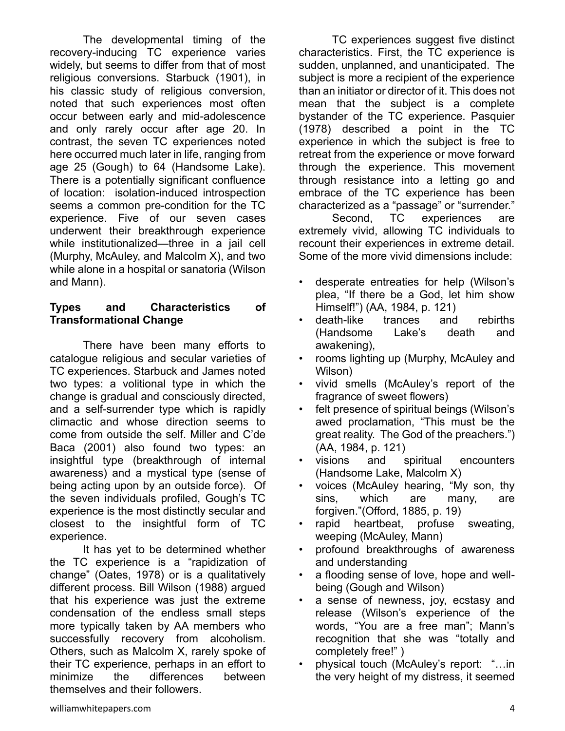The developmental timing of the recovery-inducing TC experience varies widely, but seems to differ from that of most religious conversions. Starbuck (1901), in his classic study of religious conversion, noted that such experiences most often occur between early and mid-adolescence and only rarely occur after age 20. In contrast, the seven TC experiences noted here occurred much later in life, ranging from age 25 (Gough) to 64 (Handsome Lake). There is a potentially significant confluence of location: isolation-induced introspection seems a common pre-condition for the TC experience. Five of our seven cases underwent their breakthrough experience while institutionalized—three in a jail cell (Murphy, McAuley, and Malcolm X), and two while alone in a hospital or sanatoria (Wilson and Mann).

### **Types and Characteristics of Transformational Change**

There have been many efforts to catalogue religious and secular varieties of TC experiences. Starbuck and James noted two types: a volitional type in which the change is gradual and consciously directed, and a self-surrender type which is rapidly climactic and whose direction seems to come from outside the self. Miller and C'de Baca (2001) also found two types: an insightful type (breakthrough of internal awareness) and a mystical type (sense of being acting upon by an outside force). Of the seven individuals profiled, Gough's TC experience is the most distinctly secular and closest to the insightful form of TC experience.

It has yet to be determined whether the TC experience is a "rapidization of change" (Oates, 1978) or is a qualitatively different process. Bill Wilson (1988) argued that his experience was just the extreme condensation of the endless small steps more typically taken by AA members who successfully recovery from alcoholism. Others, such as Malcolm X, rarely spoke of their TC experience, perhaps in an effort to minimize the differences between themselves and their followers.

TC experiences suggest five distinct characteristics. First, the TC experience is sudden, unplanned, and unanticipated. The subject is more a recipient of the experience than an initiator or director of it. This does not mean that the subject is a complete bystander of the TC experience. Pasquier (1978) described a point in the TC experience in which the subject is free to retreat from the experience or move forward through the experience. This movement through resistance into a letting go and embrace of the TC experience has been characterized as a "passage" or "surrender."

Second, TC experiences are extremely vivid, allowing TC individuals to recount their experiences in extreme detail. Some of the more vivid dimensions include:

- desperate entreaties for help (Wilson's plea, "If there be a God, let him show Himself!") (AA, 1984, p. 121)
- death-like trances and rebirths (Handsome Lake's death and awakening),
- rooms lighting up (Murphy, McAuley and Wilson)
- vivid smells (McAuley's report of the fragrance of sweet flowers)
- felt presence of spiritual beings (Wilson's awed proclamation, "This must be the great reality. The God of the preachers.") (AA, 1984, p. 121)
- visions and spiritual encounters (Handsome Lake, Malcolm X)
- voices (McAuley hearing, "My son, thy sins, which are many, are forgiven."(Offord, 1885, p. 19)
- rapid heartbeat, profuse sweating, weeping (McAuley, Mann)
- profound breakthroughs of awareness and understanding
- a flooding sense of love, hope and wellbeing (Gough and Wilson)
- a sense of newness, joy, ecstasy and release (Wilson's experience of the words, "You are a free man"; Mann's recognition that she was "totally and completely free!" )
- physical touch (McAuley's report: "…in the very height of my distress, it seemed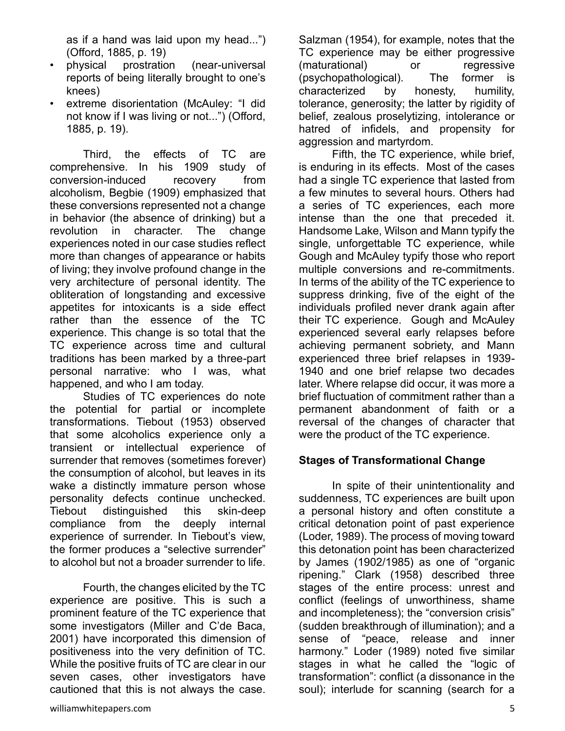as if a hand was laid upon my head...") (Offord, 1885, p. 19)

- physical prostration (near-universal reports of being literally brought to one's knees)
- extreme disorientation (McAuley: "I did not know if I was living or not...") (Offord, 1885, p. 19).

Third, the effects of TC are comprehensive. In his 1909 study of conversion-induced recovery from alcoholism, Begbie (1909) emphasized that these conversions represented not a change in behavior (the absence of drinking) but a revolution in character. The change experiences noted in our case studies reflect more than changes of appearance or habits of living; they involve profound change in the very architecture of personal identity. The obliteration of longstanding and excessive appetites for intoxicants is a side effect rather than the essence of the TC experience. This change is so total that the TC experience across time and cultural traditions has been marked by a three-part personal narrative: who I was, what happened, and who I am today.

Studies of TC experiences do note the potential for partial or incomplete transformations. Tiebout (1953) observed that some alcoholics experience only a transient or intellectual experience of surrender that removes (sometimes forever) the consumption of alcohol, but leaves in its wake a distinctly immature person whose personality defects continue unchecked. Tiebout distinguished this skin-deep compliance from the deeply internal experience of surrender. In Tiebout's view, the former produces a "selective surrender" to alcohol but not a broader surrender to life.

Fourth, the changes elicited by the TC experience are positive. This is such a prominent feature of the TC experience that some investigators (Miller and C'de Baca, 2001) have incorporated this dimension of positiveness into the very definition of TC. While the positive fruits of TC are clear in our seven cases, other investigators have cautioned that this is not always the case.

Salzman (1954), for example, notes that the TC experience may be either progressive (maturational) or regressive (psychopathological). The former is characterized by honesty, humility, tolerance, generosity; the latter by rigidity of belief, zealous proselytizing, intolerance or hatred of infidels, and propensity for aggression and martyrdom.

Fifth, the TC experience, while brief, is enduring in its effects. Most of the cases had a single TC experience that lasted from a few minutes to several hours. Others had a series of TC experiences, each more intense than the one that preceded it. Handsome Lake, Wilson and Mann typify the single, unforgettable TC experience, while Gough and McAuley typify those who report multiple conversions and re-commitments. In terms of the ability of the TC experience to suppress drinking, five of the eight of the individuals profiled never drank again after their TC experience. Gough and McAuley experienced several early relapses before achieving permanent sobriety, and Mann experienced three brief relapses in 1939- 1940 and one brief relapse two decades later. Where relapse did occur, it was more a brief fluctuation of commitment rather than a permanent abandonment of faith or a reversal of the changes of character that were the product of the TC experience.

# **Stages of Transformational Change**

In spite of their unintentionality and suddenness, TC experiences are built upon a personal history and often constitute a critical detonation point of past experience (Loder, 1989). The process of moving toward this detonation point has been characterized by James (1902/1985) as one of "organic ripening." Clark (1958) described three stages of the entire process: unrest and conflict (feelings of unworthiness, shame and incompleteness); the "conversion crisis" (sudden breakthrough of illumination); and a sense of "peace, release and inner harmony." Loder (1989) noted five similar stages in what he called the "logic of transformation": conflict (a dissonance in the soul); interlude for scanning (search for a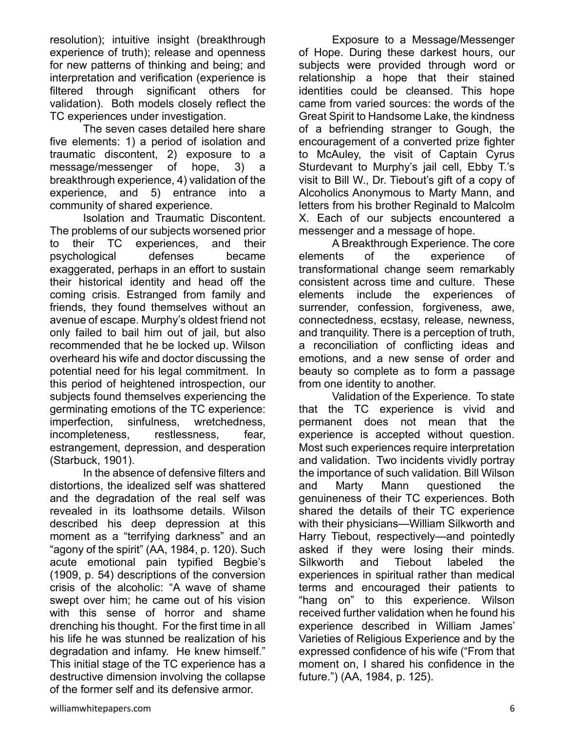resolution); intuitive insight (breakthrough experience of truth); release and openness for new patterns of thinking and being; and interpretation and verification (experience is filtered through significant others for validation). Both models closely reflect the TC experiences under investigation.

The seven cases detailed here share five elements: 1) a period of isolation and traumatic discontent, 2) exposure to a message/messenger of hope, 3) a breakthrough experience, 4) validation of the experience, and 5) entrance into a community of shared experience.

Isolation and Traumatic Discontent. The problems of our subjects worsened prior to their TC experiences, and their psychological defenses became exaggerated, perhaps in an effort to sustain their historical identity and head off the coming crisis. Estranged from family and friends, they found themselves without an avenue of escape. Murphy's oldest friend not only failed to bail him out of jail, but also recommended that he be locked up. Wilson overheard his wife and doctor discussing the potential need for his legal commitment. In this period of heightened introspection, our subjects found themselves experiencing the germinating emotions of the TC experience: imperfection, sinfulness, wretchedness, incompleteness, restlessness, fear, estrangement, depression, and desperation (Starbuck, 1901).

In the absence of defensive filters and distortions, the idealized self was shattered and the degradation of the real self was revealed in its loathsome details. Wilson described his deep depression at this moment as a "terrifying darkness" and an "agony of the spirit" (AA, 1984, p. 120). Such acute emotional pain typified Begbie's (1909, p. 54) descriptions of the conversion crisis of the alcoholic: "A wave of shame swept over him; he came out of his vision with this sense of horror and shame drenching his thought. For the first time in all his life he was stunned be realization of his degradation and infamy. He knew himself." This initial stage of the TC experience has a destructive dimension involving the collapse of the former self and its defensive armor.

Exposure to a Message/Messenger of Hope. During these darkest hours, our subjects were provided through word or relationship a hope that their stained identities could be cleansed. This hope came from varied sources: the words of the Great Spirit to Handsome Lake, the kindness of a befriending stranger to Gough, the encouragement of a converted prize fighter to McAuley, the visit of Captain Cyrus Sturdevant to Murphy's jail cell, Ebby T.'s visit to Bill W., Dr. Tiebout's gift of a copy of Alcoholics Anonymous to Marty Mann, and letters from his brother Reginald to Malcolm X. Each of our subjects encountered a messenger and a message of hope.

A Breakthrough Experience. The core elements of the experience of transformational change seem remarkably consistent across time and culture. These elements include the experiences of surrender, confession, forgiveness, awe, connectedness, ecstasy, release, newness, and tranquility. There is a perception of truth, a reconciliation of conflicting ideas and emotions, and a new sense of order and beauty so complete as to form a passage from one identity to another.

Validation of the Experience. To state that the TC experience is vivid and permanent does not mean that the experience is accepted without question. Most such experiences require interpretation and validation. Two incidents vividly portray the importance of such validation. Bill Wilson and Marty Mann questioned the genuineness of their TC experiences. Both shared the details of their TC experience with their physicians—William Silkworth and Harry Tiebout, respectively—and pointedly asked if they were losing their minds. Silkworth and Tiebout labeled the experiences in spiritual rather than medical terms and encouraged their patients to "hang on" to this experience. Wilson received further validation when he found his experience described in William James' Varieties of Religious Experience and by the expressed confidence of his wife ("From that moment on, I shared his confidence in the future.") (AA, 1984, p. 125).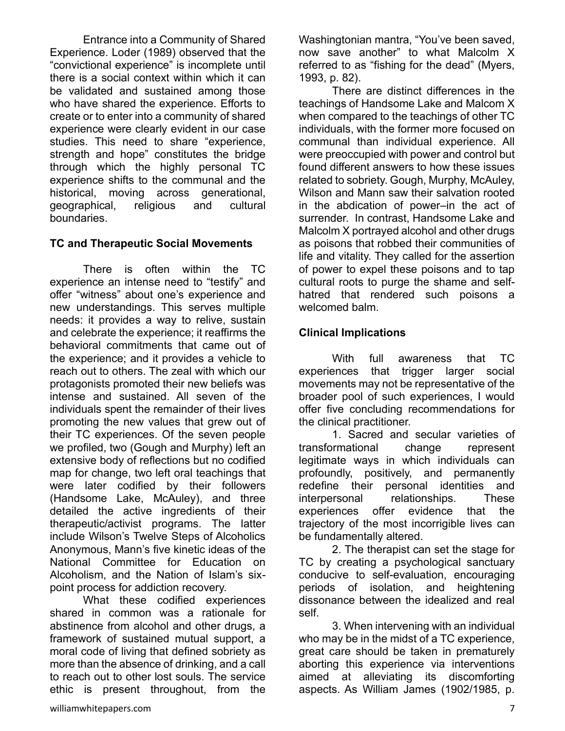Entrance into a Community of Shared Experience. Loder (1989) observed that the "convictional experience" is incomplete until there is a social context within which it can be validated and sustained among those who have shared the experience. Efforts to create or to enter into a community of shared experience were clearly evident in our case studies. This need to share "experience, strength and hope" constitutes the bridge through which the highly personal TC experience shifts to the communal and the historical, moving across generational, geographical, religious and cultural boundaries.

#### **TC and Therapeutic Social Movements**

There is often within the TC experience an intense need to "testify" and offer "witness" about one's experience and new understandings. This serves multiple needs: it provides a way to relive, sustain and celebrate the experience; it reaffirms the behavioral commitments that came out of the experience; and it provides a vehicle to reach out to others. The zeal with which our protagonists promoted their new beliefs was intense and sustained. All seven of the individuals spent the remainder of their lives promoting the new values that grew out of their TC experiences. Of the seven people we profiled, two (Gough and Murphy) left an extensive body of reflections but no codified map for change, two left oral teachings that were later codified by their followers (Handsome Lake, McAuley), and three detailed the active ingredients of their therapeutic/activist programs. The latter include Wilson's Twelve Steps of Alcoholics Anonymous, Mann's five kinetic ideas of the National Committee for Education on Alcoholism, and the Nation of Islam's sixpoint process for addiction recovery.

What these codified experiences shared in common was a rationale for abstinence from alcohol and other drugs, a framework of sustained mutual support, a moral code of living that defined sobriety as more than the absence of drinking, and a call to reach out to other lost souls. The service ethic is present throughout, from the

Washingtonian mantra, "You've been saved, now save another" to what Malcolm X referred to as "fishing for the dead" (Myers, 1993, p. 82).

There are distinct differences in the teachings of Handsome Lake and Malcom X when compared to the teachings of other TC individuals, with the former more focused on communal than individual experience. All were preoccupied with power and control but found different answers to how these issues related to sobriety. Gough, Murphy, McAuley, Wilson and Mann saw their salvation rooted in the abdication of power–in the act of surrender. In contrast, Handsome Lake and Malcolm X portrayed alcohol and other drugs as poisons that robbed their communities of life and vitality. They called for the assertion of power to expel these poisons and to tap cultural roots to purge the shame and selfhatred that rendered such poisons a welcomed balm.

# **Clinical Implications**

With full awareness that TC experiences that trigger larger social movements may not be representative of the broader pool of such experiences, I would offer five concluding recommendations for the clinical practitioner.

1. Sacred and secular varieties of transformational change represent legitimate ways in which individuals can profoundly, positively, and permanently redefine their personal identities and interpersonal relationships. These experiences offer evidence that the trajectory of the most incorrigible lives can be fundamentally altered.

2. The therapist can set the stage for TC by creating a psychological sanctuary conducive to self-evaluation, encouraging periods of isolation, and heightening dissonance between the idealized and real self.

3. When intervening with an individual who may be in the midst of a TC experience, great care should be taken in prematurely aborting this experience via interventions aimed at alleviating its discomforting aspects. As William James (1902/1985, p.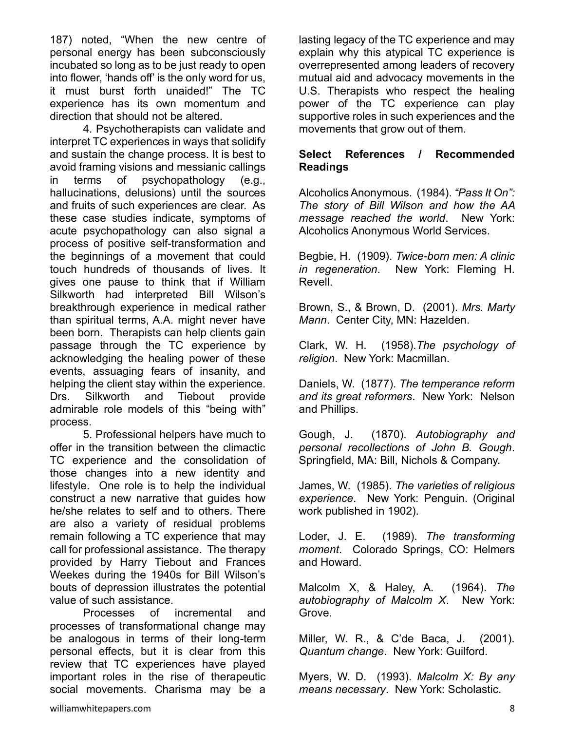187) noted, "When the new centre of personal energy has been subconsciously incubated so long as to be just ready to open into flower, 'hands off' is the only word for us, it must burst forth unaided!" The TC experience has its own momentum and direction that should not be altered.

4. Psychotherapists can validate and interpret TC experiences in ways that solidify and sustain the change process. It is best to avoid framing visions and messianic callings in terms of psychopathology (e.g., hallucinations, delusions) until the sources and fruits of such experiences are clear. As these case studies indicate, symptoms of acute psychopathology can also signal a process of positive self-transformation and the beginnings of a movement that could touch hundreds of thousands of lives. It gives one pause to think that if William Silkworth had interpreted Bill Wilson's breakthrough experience in medical rather than spiritual terms, A.A. might never have been born. Therapists can help clients gain passage through the TC experience by acknowledging the healing power of these events, assuaging fears of insanity, and helping the client stay within the experience. Drs. Silkworth and Tiebout provide admirable role models of this "being with" process.

5. Professional helpers have much to offer in the transition between the climactic TC experience and the consolidation of those changes into a new identity and lifestyle. One role is to help the individual construct a new narrative that guides how he/she relates to self and to others. There are also a variety of residual problems remain following a TC experience that may call for professional assistance. The therapy provided by Harry Tiebout and Frances Weekes during the 1940s for Bill Wilson's bouts of depression illustrates the potential value of such assistance.

Processes of incremental and processes of transformational change may be analogous in terms of their long-term personal effects, but it is clear from this review that TC experiences have played important roles in the rise of therapeutic social movements. Charisma may be a lasting legacy of the TC experience and may explain why this atypical TC experience is overrepresented among leaders of recovery mutual aid and advocacy movements in the U.S. Therapists who respect the healing power of the TC experience can play supportive roles in such experiences and the movements that grow out of them.

# **Select References / Recommended Readings**

Alcoholics Anonymous. (1984). *"Pass It On": The story of Bill Wilson and how the AA message reached the world*. New York: Alcoholics Anonymous World Services.

Begbie, H. (1909). *Twice-born men: A clinic in regeneration*. New York: Fleming H. Revell.

Brown, S., & Brown, D. (2001). *Mrs. Marty Mann*. Center City, MN: Hazelden.

Clark, W. H. (1958).*The psychology of religion*. New York: Macmillan.

Daniels, W. (1877). *The temperance reform and its great reformers*. New York: Nelson and Phillips.

Gough, J. (1870). *Autobiography and personal recollections of John B. Gough*. Springfield, MA: Bill, Nichols & Company.

James, W. (1985). *The varieties of religious experience*. New York: Penguin. (Original work published in 1902).

Loder, J. E. (1989). *The transforming moment*. Colorado Springs, CO: Helmers and Howard.

Malcolm X, & Haley, A. (1964). *The autobiography of Malcolm X*. New York: Grove.

Miller, W. R., & C'de Baca, J. (2001). *Quantum change*. New York: Guilford.

Myers, W. D. (1993). *Malcolm X: By any means necessary*. New York: Scholastic.